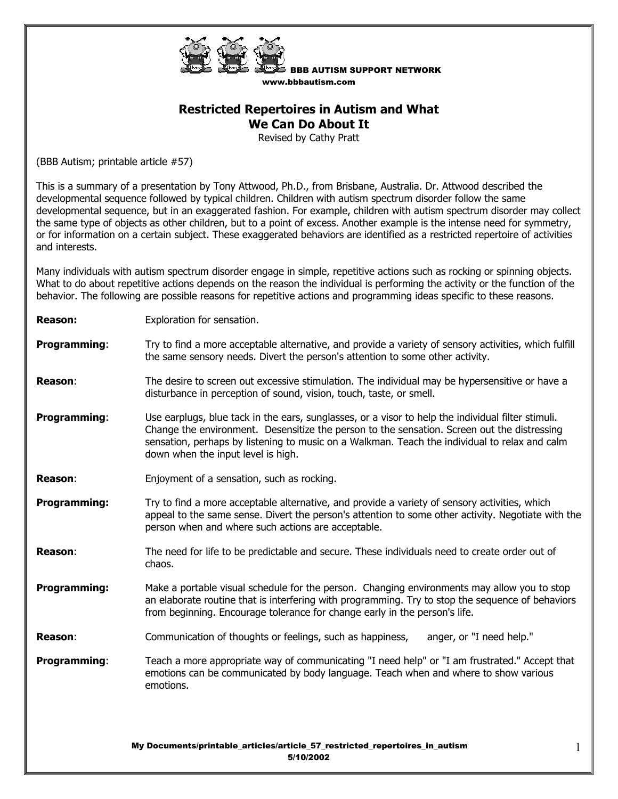

BBB AUTISM SUPPORT NETWORK www.bbbautism.com

## **Restricted Repertoires in Autism and What We Can Do About It**

Revised by Cathy Pratt

(BBB Autism; printable article #57)

This is a summary of a presentation by Tony Attwood, Ph.D., from Brisbane, Australia. Dr. Attwood described the developmental sequence followed by typical children. Children with autism spectrum disorder follow the same developmental sequence, but in an exaggerated fashion. For example, children with autism spectrum disorder may collect the same type of objects as other children, but to a point of excess. Another example is the intense need for symmetry, or for information on a certain subject. These exaggerated behaviors are identified as a restricted repertoire of activities and interests.

Many individuals with autism spectrum disorder engage in simple, repetitive actions such as rocking or spinning objects. What to do about repetitive actions depends on the reason the individual is performing the activity or the function of the behavior. The following are possible reasons for repetitive actions and programming ideas specific to these reasons.

| <b>Reason:</b>      | Exploration for sensation.                                                                                                                                                                                                                                                                                                               |
|---------------------|------------------------------------------------------------------------------------------------------------------------------------------------------------------------------------------------------------------------------------------------------------------------------------------------------------------------------------------|
| <b>Programming:</b> | Try to find a more acceptable alternative, and provide a variety of sensory activities, which fulfill<br>the same sensory needs. Divert the person's attention to some other activity.                                                                                                                                                   |
| <b>Reason:</b>      | The desire to screen out excessive stimulation. The individual may be hypersensitive or have a<br>disturbance in perception of sound, vision, touch, taste, or smell.                                                                                                                                                                    |
| <b>Programming:</b> | Use earplugs, blue tack in the ears, sunglasses, or a visor to help the individual filter stimuli.<br>Change the environment. Desensitize the person to the sensation. Screen out the distressing<br>sensation, perhaps by listening to music on a Walkman. Teach the individual to relax and calm<br>down when the input level is high. |
| <b>Reason:</b>      | Enjoyment of a sensation, such as rocking.                                                                                                                                                                                                                                                                                               |
| <b>Programming:</b> | Try to find a more acceptable alternative, and provide a variety of sensory activities, which<br>appeal to the same sense. Divert the person's attention to some other activity. Negotiate with the<br>person when and where such actions are acceptable.                                                                                |
| <b>Reason:</b>      | The need for life to be predictable and secure. These individuals need to create order out of<br>chaos.                                                                                                                                                                                                                                  |
| <b>Programming:</b> | Make a portable visual schedule for the person. Changing environments may allow you to stop<br>an elaborate routine that is interfering with programming. Try to stop the sequence of behaviors<br>from beginning. Encourage tolerance for change early in the person's life.                                                            |
| <b>Reason:</b>      | Communication of thoughts or feelings, such as happiness,<br>anger, or "I need help."                                                                                                                                                                                                                                                    |
| <b>Programming:</b> | Teach a more appropriate way of communicating "I need help" or "I am frustrated." Accept that<br>emotions can be communicated by body language. Teach when and where to show various<br>emotions.                                                                                                                                        |
|                     | My Documents/printable_articles/article_57_restricted_repertoires_in_autism                                                                                                                                                                                                                                                              |

5/10/2002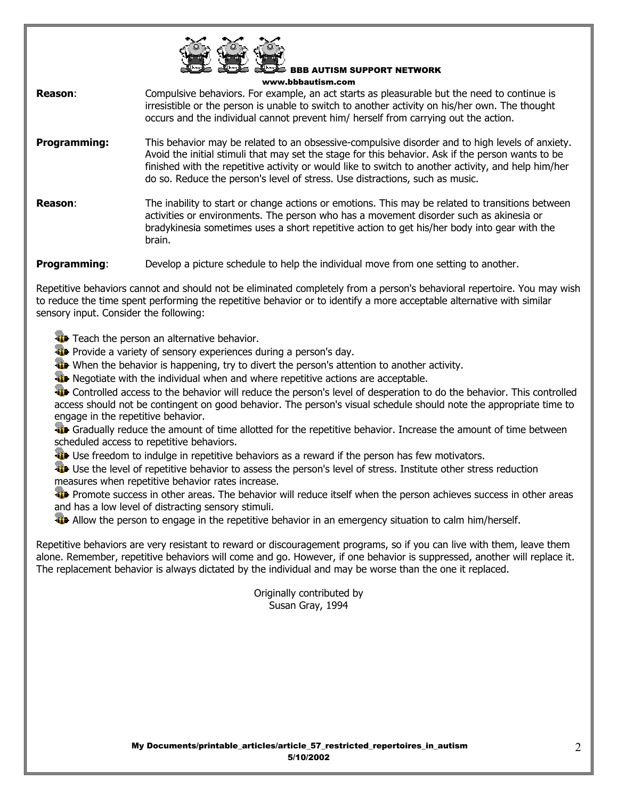

BBB AUTISM SUPPORT NETWORK www.bbbautism.com

**Reason:** Compulsive behaviors. For example, an act starts as pleasurable but the need to continue is irresistible or the person is unable to switch to another activity on his/her own. The thought occurs and the individual cannot prevent him/ herself from carrying out the action.

- **Programming:** This behavior may be related to an obsessive-compulsive disorder and to high levels of anxiety. Avoid the initial stimuli that may set the stage for this behavior. Ask if the person wants to be finished with the repetitive activity or would like to switch to another activity, and help him/her do so. Reduce the person's level of stress. Use distractions, such as music.
- **Reason:** The inability to start or change actions or emotions. This may be related to transitions between activities or environments. The person who has a movement disorder such as akinesia or bradykinesia sometimes uses a short repetitive action to get his/her body into gear with the brain.

**Programming:** Develop a picture schedule to help the individual move from one setting to another.

Repetitive behaviors cannot and should not be eliminated completely from a person's behavioral repertoire. You may wish to reduce the time spent performing the repetitive behavior or to identify a more acceptable alternative with similar sensory input. Consider the following:

**The Teach the person an alternative behavior.** 

- **Provide a variety of sensory experiences during a person's day.**
- When the behavior is happening, try to divert the person's attention to another activity.
- **W** Negotiate with the individual when and where repetitive actions are acceptable.

**The Controlled access to the behavior will reduce the person's level of desperation to do the behavior.** This controlled access should not be contingent on good behavior. The person's visual schedule should note the appropriate time to engage in the repetitive behavior.

**Gradually reduce the amount of time allotted for the repetitive behavior. Increase the amount of time between** scheduled access to repetitive behaviors.

**Use freedom to indulge in repetitive behaviors as a reward if the person has few motivators.** 

**Use the level of repetitive behavior to assess the person's level of stress. Institute other stress reduction** measures when repetitive behavior rates increase.

**Promote success in other areas. The behavior will reduce itself when the person achieves success in other areas** and has a low level of distracting sensory stimuli.

**Allow the person to engage in the repetitive behavior in an emergency situation to calm him/herself.** 

Repetitive behaviors are very resistant to reward or discouragement programs, so if you can live with them, leave them alone. Remember, repetitive behaviors will come and go. However, if one behavior is suppressed, another will replace it. The replacement behavior is always dictated by the individual and may be worse than the one it replaced.

> Originally contributed by Susan Gray, 1994